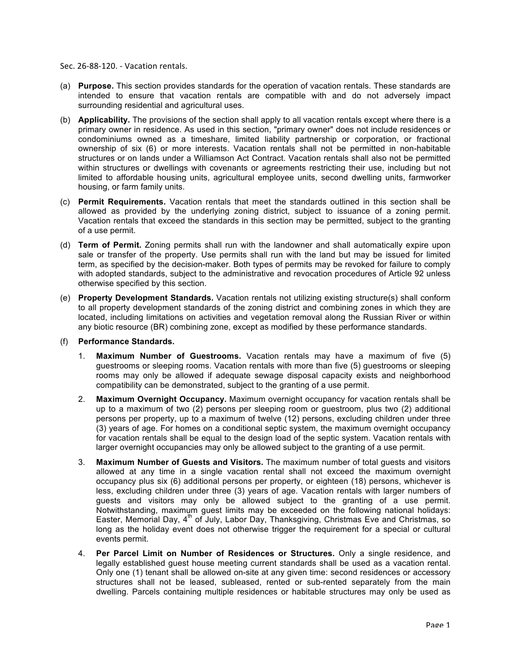- Sec. 26‐88‐120. ‐ Vacation rentals.
- (a) **Purpose.** This section provides standards for the operation of vacation rentals. These standards are intended to ensure that vacation rentals are compatible with and do not adversely impact surrounding residential and agricultural uses.
- (b) **Applicability.** The provisions of the section shall apply to all vacation rentals except where there is a primary owner in residence. As used in this section, "primary owner" does not include residences or condominiums owned as a timeshare, limited liability partnership or corporation, or fractional ownership of six (6) or more interests. Vacation rentals shall not be permitted in non-habitable structures or on lands under a Williamson Act Contract. Vacation rentals shall also not be permitted within structures or dwellings with covenants or agreements restricting their use, including but not limited to affordable housing units, agricultural employee units, second dwelling units, farmworker housing, or farm family units.
- (c) **Permit Requirements.** Vacation rentals that meet the standards outlined in this section shall be allowed as provided by the underlying zoning district, subject to issuance of a zoning permit. Vacation rentals that exceed the standards in this section may be permitted, subject to the granting of a use permit.
- (d) **Term of Permit.** Zoning permits shall run with the landowner and shall automatically expire upon sale or transfer of the property. Use permits shall run with the land but may be issued for limited term, as specified by the decision-maker. Both types of permits may be revoked for failure to comply with adopted standards, subject to the administrative and revocation procedures of Article 92 unless otherwise specified by this section.
- (e) **Property Development Standards.** Vacation rentals not utilizing existing structure(s) shall conform to all property development standards of the zoning district and combining zones in which they are located, including limitations on activities and vegetation removal along the Russian River or within any biotic resource (BR) combining zone, except as modified by these performance standards.
- (f) **Performance Standards.**
	- 1. **Maximum Number of Guestrooms.** Vacation rentals may have a maximum of five (5) guestrooms or sleeping rooms. Vacation rentals with more than five (5) guestrooms or sleeping rooms may only be allowed if adequate sewage disposal capacity exists and neighborhood compatibility can be demonstrated, subject to the granting of a use permit.
	- 2. **Maximum Overnight Occupancy.** Maximum overnight occupancy for vacation rentals shall be up to a maximum of two (2) persons per sleeping room or guestroom, plus two (2) additional persons per property, up to a maximum of twelve (12) persons, excluding children under three (3) years of age. For homes on a conditional septic system, the maximum overnight occupancy for vacation rentals shall be equal to the design load of the septic system. Vacation rentals with larger overnight occupancies may only be allowed subject to the granting of a use permit.
	- 3. **Maximum Number of Guests and Visitors.** The maximum number of total guests and visitors allowed at any time in a single vacation rental shall not exceed the maximum overnight occupancy plus six (6) additional persons per property, or eighteen (18) persons, whichever is less, excluding children under three (3) years of age. Vacation rentals with larger numbers of guests and visitors may only be allowed subject to the granting of a use permit. Notwithstanding, maximum guest limits may be exceeded on the following national holidays: Easter, Memorial Day,  $4<sup>th</sup>$  of July, Labor Day, Thanksgiving, Christmas Eve and Christmas, so long as the holiday event does not otherwise trigger the requirement for a special or cultural events permit.
	- 4. **Per Parcel Limit on Number of Residences or Structures.** Only a single residence, and legally established guest house meeting current standards shall be used as a vacation rental. Only one (1) tenant shall be allowed on-site at any given time: second residences or accessory structures shall not be leased, subleased, rented or sub-rented separately from the main dwelling. Parcels containing multiple residences or habitable structures may only be used as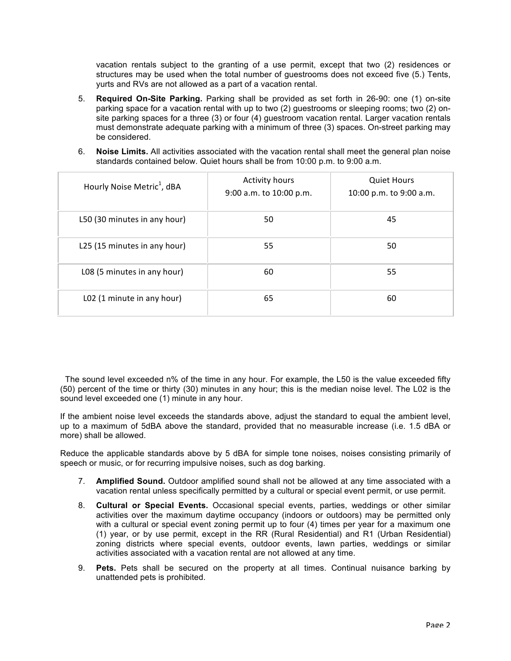vacation rentals subject to the granting of a use permit, except that two (2) residences or structures may be used when the total number of guestrooms does not exceed five (5.) Tents, yurts and RVs are not allowed as a part of a vacation rental.

- 5. **Required On-Site Parking.** Parking shall be provided as set forth in 26-90: one (1) on-site parking space for a vacation rental with up to two (2) guestrooms or sleeping rooms; two (2) onsite parking spaces for a three (3) or four (4) guestroom vacation rental. Larger vacation rentals must demonstrate adequate parking with a minimum of three (3) spaces. On-street parking may be considered.
- 6. **Noise Limits.** All activities associated with the vacation rental shall meet the general plan noise standards contained below. Quiet hours shall be from 10:00 p.m. to 9:00 a.m.

| Hourly Noise Metric <sup>1</sup> , dBA | <b>Activity hours</b><br>9:00 a.m. to 10:00 p.m. | <b>Quiet Hours</b><br>10:00 p.m. to 9:00 a.m. |
|----------------------------------------|--------------------------------------------------|-----------------------------------------------|
| L50 (30 minutes in any hour)           | 50                                               | 45                                            |
| L25 (15 minutes in any hour)           | 55                                               | 50                                            |
| L08 (5 minutes in any hour)            | 60                                               | 55                                            |
| L02 (1 minute in any hour)             | 65                                               | 60                                            |

The sound level exceeded n% of the time in any hour. For example, the L50 is the value exceeded fifty (50) percent of the time or thirty (30) minutes in any hour; this is the median noise level. The L02 is the sound level exceeded one (1) minute in any hour.

If the ambient noise level exceeds the standards above, adjust the standard to equal the ambient level, up to a maximum of 5dBA above the standard, provided that no measurable increase (i.e. 1.5 dBA or more) shall be allowed.

Reduce the applicable standards above by 5 dBA for simple tone noises, noises consisting primarily of speech or music, or for recurring impulsive noises, such as dog barking.

- 7. **Amplified Sound.** Outdoor amplified sound shall not be allowed at any time associated with a vacation rental unless specifically permitted by a cultural or special event permit, or use permit.
- 8. **Cultural or Special Events.** Occasional special events, parties, weddings or other similar activities over the maximum daytime occupancy (indoors or outdoors) may be permitted only with a cultural or special event zoning permit up to four (4) times per year for a maximum one (1) year, or by use permit, except in the RR (Rural Residential) and R1 (Urban Residential) zoning districts where special events, outdoor events, lawn parties, weddings or similar activities associated with a vacation rental are not allowed at any time.
- 9. **Pets.** Pets shall be secured on the property at all times. Continual nuisance barking by unattended pets is prohibited.